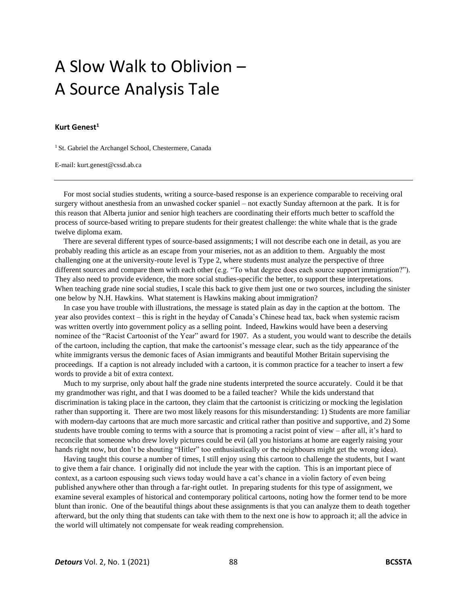## A Slow Walk to Oblivion – A Source Analysis Tale

## **Kurt Genest<sup>1</sup>**

<sup>1</sup> St. Gabriel the Archangel School, Chestermere, Canada

E-mail: kurt.genest@cssd.ab.ca

For most social studies students, writing a source-based response is an experience comparable to receiving oral surgery without anesthesia from an unwashed cocker spaniel – not exactly Sunday afternoon at the park. It is for this reason that Alberta junior and senior high teachers are coordinating their efforts much better to scaffold the process of source-based writing to prepare students for their greatest challenge: the white whale that is the grade twelve diploma exam.

There are several different types of source-based assignments; I will not describe each one in detail, as you are probably reading this article as an escape from your miseries, not as an addition to them. Arguably the most challenging one at the university-route level is Type 2, where students must analyze the perspective of three different sources and compare them with each other (e.g. "To what degree does each source support immigration?"). They also need to provide evidence, the more social studies-specific the better, to support these interpretations. When teaching grade nine social studies, I scale this back to give them just one or two sources, including the sinister one below by N.H. Hawkins. What statement is Hawkins making about immigration?

In case you have trouble with illustrations, the message is stated plain as day in the caption at the bottom. The year also provides context – this is right in the heyday of Canada's Chinese head tax, back when systemic racism was written overtly into government policy as a selling point. Indeed, Hawkins would have been a deserving nominee of the "Racist Cartoonist of the Year" award for 1907. As a student, you would want to describe the details of the cartoon, including the caption, that make the cartoonist's message clear, such as the tidy appearance of the white immigrants versus the demonic faces of Asian immigrants and beautiful Mother Britain supervising the proceedings. If a caption is not already included with a cartoon, it is common practice for a teacher to insert a few words to provide a bit of extra context.

Much to my surprise, only about half the grade nine students interpreted the source accurately. Could it be that my grandmother was right, and that I was doomed to be a failed teacher? While the kids understand that discrimination is taking place in the cartoon, they claim that the cartoonist is criticizing or mocking the legislation rather than supporting it. There are two most likely reasons for this misunderstanding: 1) Students are more familiar with modern-day cartoons that are much more sarcastic and critical rather than positive and supportive, and 2) Some students have trouble coming to terms with a source that is promoting a racist point of view – after all, it's hard to reconcile that someone who drew lovely pictures could be evil (all you historians at home are eagerly raising your hands right now, but don't be shouting "Hitler" too enthusiastically or the neighbours might get the wrong idea).

Having taught this course a number of times, I still enjoy using this cartoon to challenge the students, but I want to give them a fair chance. I originally did not include the year with the caption. This is an important piece of context, as a cartoon espousing such views today would have a cat's chance in a violin factory of even being published anywhere other than through a far-right outlet. In preparing students for this type of assignment, we examine several examples of historical and contemporary political cartoons, noting how the former tend to be more blunt than ironic. One of the beautiful things about these assignments is that you can analyze them to death together afterward, but the only thing that students can take with them to the next one is how to approach it; all the advice in the world will ultimately not compensate for weak reading comprehension.